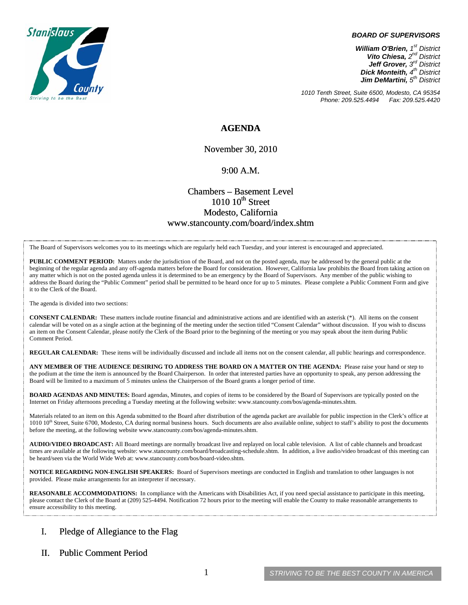

#### *BOARD OF SUPERVISORS*

*William O'Brien, 1st District Vito Chiesa, 2nd District Jeff Grover, 3rd District Dick Monteith, 4th District Jim DeMartini, 5th District*

*1010 Tenth Street, Suite 6500, Modesto, CA 95354 Phone: 209.525.4494 Fax: 209.525.4420* 

#### **AGENDA**

November 30, 2010

#### 9:00 A.M.

## Chambers – Basement Level  $1010~10$ <sup>th</sup> Street Modesto, California www.stancounty.com/board/index.shtm

The Board of Supervisors welcomes you to its meetings which are regularly held each Tuesday, and your interest is encouraged and appreciated.

**PUBLIC COMMENT PERIOD:** Matters under the jurisdiction of the Board, and not on the posted agenda, may be addressed by the general public at the beginning of the regular agenda and any off-agenda matters before the Board for consideration. However, California law prohibits the Board from taking action on any matter which is not on the posted agenda unless it is determined to be an emergency by the Board of Supervisors. Any member of the public wishing to address the Board during the "Public Comment" period shall be permitted to be heard once for up to 5 minutes. Please complete a Public Comment Form and give it to the Clerk of the Board.

The agenda is divided into two sections:

**CONSENT CALENDAR:** These matters include routine financial and administrative actions and are identified with an asterisk (\*). All items on the consent calendar will be voted on as a single action at the beginning of the meeting under the section titled "Consent Calendar" without discussion. If you wish to discuss an item on the Consent Calendar, please notify the Clerk of the Board prior to the beginning of the meeting or you may speak about the item during Public Comment Period.

**REGULAR CALENDAR:** These items will be individually discussed and include all items not on the consent calendar, all public hearings and correspondence.

**ANY MEMBER OF THE AUDIENCE DESIRING TO ADDRESS THE BOARD ON A MATTER ON THE AGENDA:** Please raise your hand or step to the podium at the time the item is announced by the Board Chairperson. In order that interested parties have an opportunity to speak, any person addressing the Board will be limited to a maximum of 5 minutes unless the Chairperson of the Board grants a longer period of time.

**BOARD AGENDAS AND MINUTES:** Board agendas, Minutes, and copies of items to be considered by the Board of Supervisors are typically posted on the Internet on Friday afternoons preceding a Tuesday meeting at the following website: www.stancounty.com/bos/agenda-minutes.shtm.

Materials related to an item on this Agenda submitted to the Board after distribution of the agenda packet are available for public inspection in the Clerk's office at 1010 10<sup>th</sup> Street, Suite 6700, Modesto, CA during normal business hours. Such documents are also available online, subject to staff's ability to post the documents before the meeting, at the following website www.stancounty.com/bos/agenda-minutes.shtm.

**AUDIO/VIDEO BROADCAST:** All Board meetings are normally broadcast live and replayed on local cable television. A list of cable channels and broadcast times are available at the following website: www.stancounty.com/board/broadcasting-schedule.shtm. In addition, a live audio/video broadcast of this meeting can be heard/seen via the World Wide Web at: www.stancounty.com/bos/board-video.shtm.

**NOTICE REGARDING NON-ENGLISH SPEAKERS:** Board of Supervisors meetings are conducted in English and translation to other languages is not provided. Please make arrangements for an interpreter if necessary.

**REASONABLE ACCOMMODATIONS:** In compliance with the Americans with Disabilities Act, if you need special assistance to participate in this meeting, please contact the Clerk of the Board at (209) 525-4494. Notification 72 hours prior to the meeting will enable the County to make reasonable arrangements to ensure accessibility to this meeting.

### I. Pledge of Allegiance to the Flag

#### II. Public Comment Period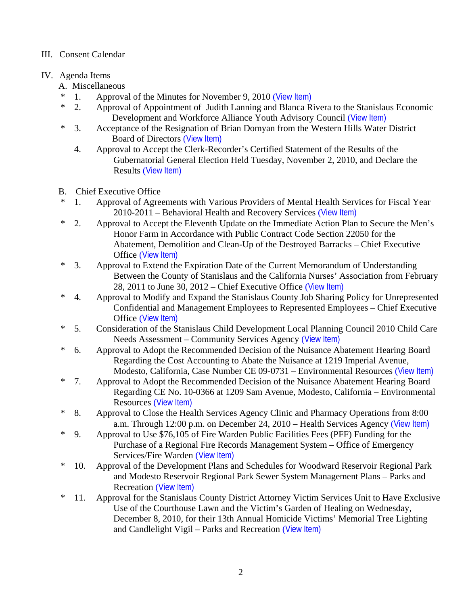## III. Consent Calendar

# IV. Agenda Items

- A. Miscellaneous
- \* 1. Approval of the Minutes for November 9, 2010 ([View Item\)](http://www.stancounty.com/bos/minutes/2010/min11-09-10.pdf)<br>\* 2 Approval of Appointment of Judith Lapping and Blanca R
- 2. Approval of Appointment of Judith Lanning and Blanca Rivera to the Stanislaus Economic Development and Workforce Alliance Youth Advisory Council ([View Item\)](http://www.stancounty.com/bos/agenda/2010/20101130/A02.pdf)
- \* 3. Acceptance of the Resignation of Brian Domyan from the Western Hills Water District Board of Directors ([View Item\)](http://www.stancounty.com/bos/agenda/2010/20101130/A03.pdf)
	- 4. Approval to Accept the Clerk-Recorder's Certified Statement of the Results of the Gubernatorial General Election Held Tuesday, November 2, 2010, and Declare the Results ([View Item\)](http://www.stancounty.com/bos/agenda/2010/20101130/A04.pdf)
- B. Chief Executive Office
- 1. Approval of Agreements with Various Providers of Mental Health Services for Fiscal Year 2010-2011 – Behavioral Health and Recovery Services ([View Item\)](http://www.stancounty.com/bos/agenda/2010/20101130/B01.pdf)
- \* 2. Approval to Accept the Eleventh Update on the Immediate Action Plan to Secure the Men's Honor Farm in Accordance with Public Contract Code Section 22050 for the Abatement, Demolition and Clean-Up of the Destroyed Barracks – Chief Executive Office ([View Item\)](http://www.stancounty.com/bos/agenda/2010/20101130/B02.pdf)
- \* 3. Approval to Extend the Expiration Date of the Current Memorandum of Understanding Between the County of Stanislaus and the California Nurses' Association from February 28, 2011 to June 30,  $2012$  – Chief Executive Office ([View Item\)](http://www.stancounty.com/bos/agenda/2010/20101130/B03.pdf)
- \* 4. Approval to Modify and Expand the Stanislaus County Job Sharing Policy for Unrepresented Confidential and Management Employees to Represented Employees – Chief Executive Office ([View Item\)](http://www.stancounty.com/bos/agenda/2010/20101130/B04.pdf)
- \* 5. Consideration of the Stanislaus Child Development Local Planning Council 2010 Child Care Needs Assessment – Community Services Agency ([View Item\)](http://www.stancounty.com/bos/agenda/2010/20101130/B05.pdf)
- \* 6. Approval to Adopt the Recommended Decision of the Nuisance Abatement Hearing Board Regarding the Cost Accounting to Abate the Nuisance at 1219 Imperial Avenue, Modesto, California, Case Number CE 09-0731 – Environmental Resources ([View Item\)](http://www.stancounty.com/bos/agenda/2010/20101130/B06.pdf)
- \* 7. Approval to Adopt the Recommended Decision of the Nuisance Abatement Hearing Board Regarding CE No. 10-0366 at 1209 Sam Avenue, Modesto, California – Environmental Resources ([View Item\)](http://www.stancounty.com/bos/agenda/2010/20101130/B07.pdf)
- \* 8. Approval to Close the Health Services Agency Clinic and Pharmacy Operations from 8:00 a.m. Through 12:00 p.m. on December 24, 2010 – Health Services Agency ([View Item\)](http://www.stancounty.com/bos/agenda/2010/20101130/B08.pdf)
- \* 9. Approval to Use \$76,105 of Fire Warden Public Facilities Fees (PFF) Funding for the Purchase of a Regional Fire Records Management System – Office of Emergency Services/Fire Warden ([View Item\)](http://www.stancounty.com/bos/agenda/2010/20101130/B09.pdf)
- \* 10. Approval of the Development Plans and Schedules for Woodward Reservoir Regional Park and Modesto Reservoir Regional Park Sewer System Management Plans – Parks and Recreation ([View Item\)](http://www.stancounty.com/bos/agenda/2010/20101130/B10.pdf)
- \* 11. Approval for the Stanislaus County District Attorney Victim Services Unit to Have Exclusive Use of the Courthouse Lawn and the Victim's Garden of Healing on Wednesday, December 8, 2010, for their 13th Annual Homicide Victims' Memorial Tree Lighting and Candlelight Vigil – Parks and Recreation ([View Item\)](http://www.stancounty.com/bos/agenda/2010/20101130/B11.pdf)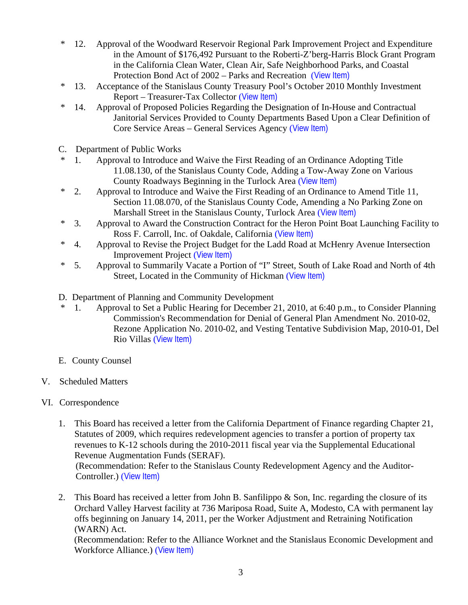- \* 12. Approval of the Woodward Reservoir Regional Park Improvement Project and Expenditure in the Amount of \$176,492 Pursuant to the Roberti-Z'berg-Harris Block Grant Program in the California Clean Water, Clean Air, Safe Neighborhood Parks, and Coastal Protection Bond Act of 2002 – Parks and Recreation ([View Item\)](http://www.stancounty.com/bos/agenda/2010/20101130/B12.pdf)
- \* 13. Acceptance of the Stanislaus County Treasury Pool's October 2010 Monthly Investment Report – Treasurer-Tax Collector ([View Item\)](http://www.stancounty.com/bos/agenda/2010/20101130/B13.pdf)
- \* 14. Approval of Proposed Policies Regarding the Designation of In-House and Contractual Janitorial Services Provided to County Departments Based Upon a Clear Definition of Core Service Areas – General Services Agency ([View Item\)](http://www.stancounty.com/bos/agenda/2010/20101130/B14.pdf)
- C. Department of Public Works
- 1. Approval to Introduce and Waive the First Reading of an Ordinance Adopting Title 11.08.130, of the Stanislaus County Code, Adding a Tow-Away Zone on Various County Roadways Beginning in the Turlock Area ([View Item\)](http://www.stancounty.com/bos/agenda/2010/20101130/C01.pdf)
- \* 2. Approval to Introduce and Waive the First Reading of an Ordinance to Amend Title 11, Section 11.08.070, of the Stanislaus County Code, Amending a No Parking Zone on Marshall Street in the Stanislaus County, Turlock Area ([View Item\)](http://www.stancounty.com/bos/agenda/2010/20101130/C02.pdf)
- \* 3. Approval to Award the Construction Contract for the Heron Point Boat Launching Facility to Ross F. Carroll, Inc. of Oakdale, California ([View Item\)](http://www.stancounty.com/bos/agenda/2010/20101130/C03.pdf)
- \* 4. Approval to Revise the Project Budget for the Ladd Road at McHenry Avenue Intersection Improvement Project ([View Item\)](http://www.stancounty.com/bos/agenda/2010/20101130/C04.pdf)
- \* 5. Approval to Summarily Vacate a Portion of "I" Street, South of Lake Road and North of 4th Street, Located in the Community of Hickman ([View Item\)](http://www.stancounty.com/bos/agenda/2010/20101130/C05.pdf)
- D. Department of Planning and Community Development
- \* 1. Approval to Set a Public Hearing for December 21, 2010, at 6:40 p.m., to Consider Planning Commission's Recommendation for Denial of General Plan Amendment No. 2010-02, Rezone Application No. 2010-02, and Vesting Tentative Subdivision Map, 2010-01, Del Rio Villas ([View Item\)](http://www.stancounty.com/bos/agenda/2010/20101130/D01.pdf)
- E. County Counsel
- V. Scheduled Matters
- VI. Correspondence
	- 1. This Board has received a letter from the California Department of Finance regarding Chapter 21, Statutes of 2009, which requires redevelopment agencies to transfer a portion of property tax revenues to K-12 schools during the 2010-2011 fiscal year via the Supplemental Educational Revenue Augmentation Funds (SERAF).

(Recommendation: Refer to the Stanislaus County Redevelopment Agency and the Auditor-Controller.) ([View Item\)](http://www.stancounty.com/bos/agenda/2010/20101130/Corr01.pdf)

2. This Board has received a letter from John B. Sanfilippo & Son, Inc. regarding the closure of its Orchard Valley Harvest facility at 736 Mariposa Road, Suite A, Modesto, CA with permanent lay offs beginning on January 14, 2011, per the Worker Adjustment and Retraining Notification (WARN) Act.

(Recommendation: Refer to the Alliance Worknet and the Stanislaus Economic Development and Workforce Alliance.) ([View Item\)](http://www.stancounty.com/bos/agenda/2010/20101130/Corr02.pdf)